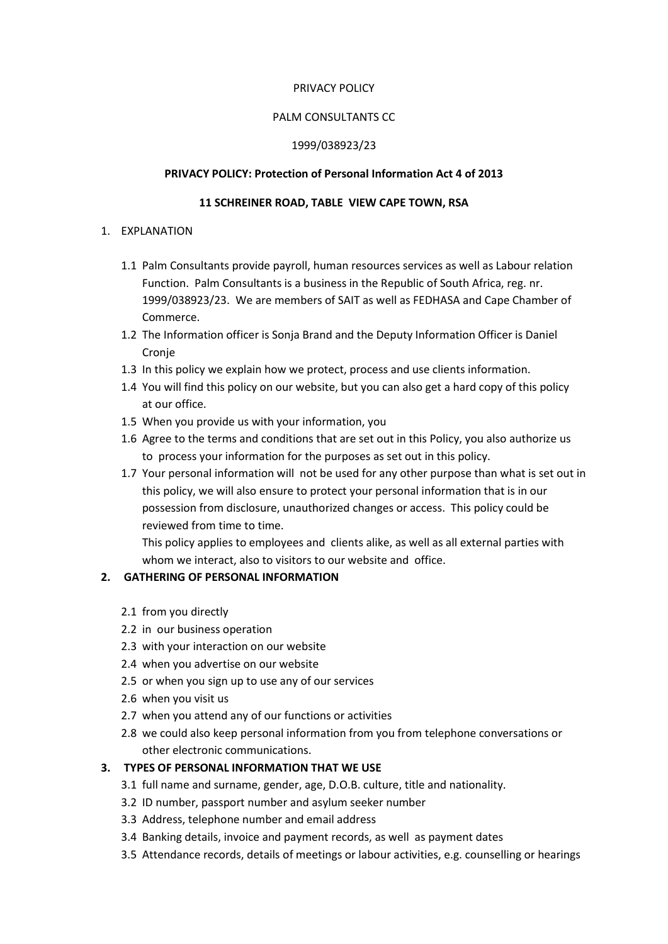#### PRIVACY POLICY

### PALM CONSULTANTS CC

#### 1999/038923/23

#### PRIVACY POLICY: Protection of Personal Information Act 4 of 2013

#### 11 SCHREINER ROAD, TABLE VIEW CAPE TOWN, RSA

#### 1. EXPLANATION

- 1.1 Palm Consultants provide payroll, human resources services as well as Labour relation Function. Palm Consultants is a business in the Republic of South Africa, reg. nr. 1999/038923/23. We are members of SAIT as well as FEDHASA and Cape Chamber of Commerce.
- 1.2 The Information officer is Sonja Brand and the Deputy Information Officer is Daniel Cronie
- 1.3 In this policy we explain how we protect, process and use clients information.
- 1.4 You will find this policy on our website, but you can also get a hard copy of this policy at our office.
- 1.5 When you provide us with your information, you
- 1.6 Agree to the terms and conditions that are set out in this Policy, you also authorize us to process your information for the purposes as set out in this policy.
- 1.7 Your personal information will not be used for any other purpose than what is set out in this policy, we will also ensure to protect your personal information that is in our possession from disclosure, unauthorized changes or access. This policy could be reviewed from time to time.

This policy applies to employees and clients alike, as well as all external parties with whom we interact, also to visitors to our website and office.

### 2. GATHERING OF PERSONAL INFORMATION

- 2.1 from you directly
- 2.2 in our business operation
- 2.3 with your interaction on our website
- 2.4 when you advertise on our website
- 2.5 or when you sign up to use any of our services
- 2.6 when you visit us
- 2.7 when you attend any of our functions or activities
- 2.8 we could also keep personal information from you from telephone conversations or other electronic communications.

### 3. TYPES OF PERSONAL INFORMATION THAT WE USE

- 3.1 full name and surname, gender, age, D.O.B. culture, title and nationality.
- 3.2 ID number, passport number and asylum seeker number
- 3.3 Address, telephone number and email address
- 3.4 Banking details, invoice and payment records, as well as payment dates
- 3.5 Attendance records, details of meetings or labour activities, e.g. counselling or hearings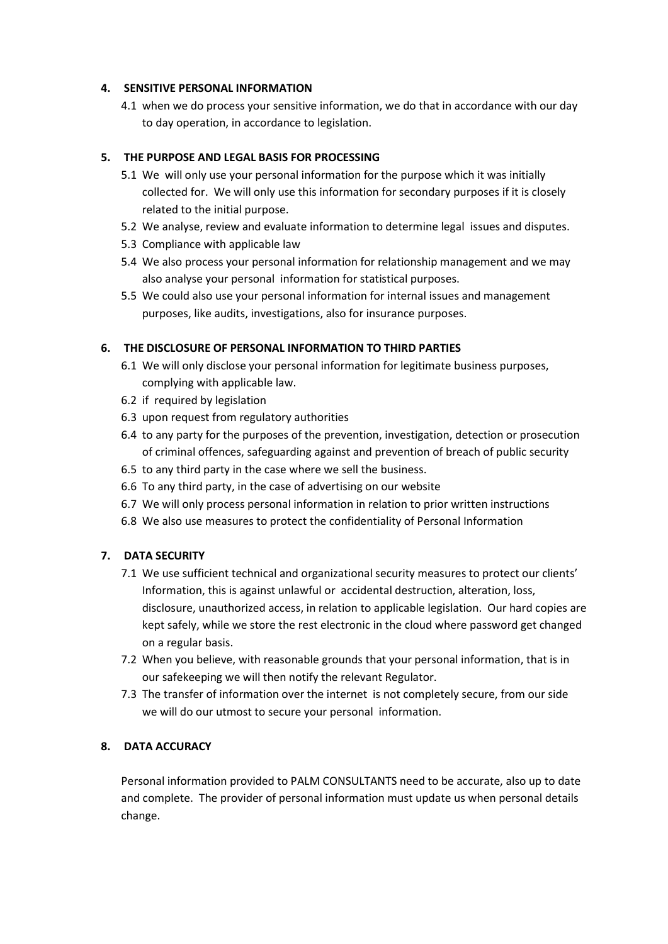#### 4. SENSITIVE PERSONAL INFORMATION

4.1 when we do process your sensitive information, we do that in accordance with our day to day operation, in accordance to legislation.

## 5. THE PURPOSE AND LEGAL BASIS FOR PROCESSING

- 5.1 We will only use your personal information for the purpose which it was initially collected for. We will only use this information for secondary purposes if it is closely related to the initial purpose.
- 5.2 We analyse, review and evaluate information to determine legal issues and disputes.
- 5.3 Compliance with applicable law
- 5.4 We also process your personal information for relationship management and we may also analyse your personal information for statistical purposes.
- 5.5 We could also use your personal information for internal issues and management purposes, like audits, investigations, also for insurance purposes.

### 6. THE DISCLOSURE OF PERSONAL INFORMATION TO THIRD PARTIES

- 6.1 We will only disclose your personal information for legitimate business purposes, complying with applicable law.
- 6.2 if required by legislation
- 6.3 upon request from regulatory authorities
- 6.4 to any party for the purposes of the prevention, investigation, detection or prosecution of criminal offences, safeguarding against and prevention of breach of public security
- 6.5 to any third party in the case where we sell the business.
- 6.6 To any third party, in the case of advertising on our website
- 6.7 We will only process personal information in relation to prior written instructions
- 6.8 We also use measures to protect the confidentiality of Personal Information

### 7. DATA SECURITY

- 7.1 We use sufficient technical and organizational security measures to protect our clients' Information, this is against unlawful or accidental destruction, alteration, loss, disclosure, unauthorized access, in relation to applicable legislation. Our hard copies are kept safely, while we store the rest electronic in the cloud where password get changed on a regular basis.
- 7.2 When you believe, with reasonable grounds that your personal information, that is in our safekeeping we will then notify the relevant Regulator.
- 7.3 The transfer of information over the internet is not completely secure, from our side we will do our utmost to secure your personal information.

# 8. DATA ACCURACY

Personal information provided to PALM CONSULTANTS need to be accurate, also up to date and complete. The provider of personal information must update us when personal details change.